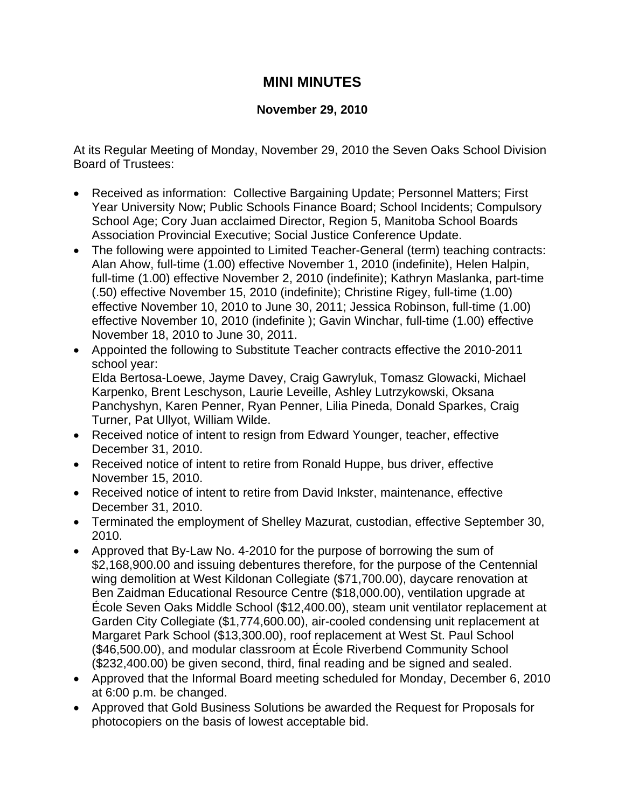## **MINI MINUTES**

## **November 29, 2010**

At its Regular Meeting of Monday, November 29, 2010 the Seven Oaks School Division Board of Trustees:

- Received as information: Collective Bargaining Update; Personnel Matters; First Year University Now; Public Schools Finance Board; School Incidents; Compulsory School Age; Cory Juan acclaimed Director, Region 5, Manitoba School Boards Association Provincial Executive; Social Justice Conference Update.
- The following were appointed to Limited Teacher-General (term) teaching contracts: Alan Ahow, full-time (1.00) effective November 1, 2010 (indefinite), Helen Halpin, full-time (1.00) effective November 2, 2010 (indefinite); Kathryn Maslanka, part-time (.50) effective November 15, 2010 (indefinite); Christine Rigey, full-time (1.00) effective November 10, 2010 to June 30, 2011; Jessica Robinson, full-time (1.00) effective November 10, 2010 (indefinite ); Gavin Winchar, full-time (1.00) effective November 18, 2010 to June 30, 2011.
- Appointed the following to Substitute Teacher contracts effective the 2010-2011 school year: Elda Bertosa-Loewe, Jayme Davey, Craig Gawryluk, Tomasz Glowacki, Michael Karpenko, Brent Leschyson, Laurie Leveille, Ashley Lutrzykowski, Oksana Panchyshyn, Karen Penner, Ryan Penner, Lilia Pineda, Donald Sparkes, Craig Turner, Pat Ullyot, William Wilde.
- Received notice of intent to resign from Edward Younger, teacher, effective December 31, 2010.
- Received notice of intent to retire from Ronald Huppe, bus driver, effective November 15, 2010.
- Received notice of intent to retire from David Inkster, maintenance, effective December 31, 2010.
- Terminated the employment of Shelley Mazurat, custodian, effective September 30, 2010.
- Approved that By-Law No. 4-2010 for the purpose of borrowing the sum of \$2,168,900.00 and issuing debentures therefore, for the purpose of the Centennial wing demolition at West Kildonan Collegiate (\$71,700.00), daycare renovation at Ben Zaidman Educational Resource Centre (\$18,000.00), ventilation upgrade at École Seven Oaks Middle School (\$12,400.00), steam unit ventilator replacement at Garden City Collegiate (\$1,774,600.00), air-cooled condensing unit replacement at Margaret Park School (\$13,300.00), roof replacement at West St. Paul School (\$46,500.00), and modular classroom at École Riverbend Community School (\$232,400.00) be given second, third, final reading and be signed and sealed.
- Approved that the Informal Board meeting scheduled for Monday, December 6, 2010 at 6:00 p.m. be changed.
- Approved that Gold Business Solutions be awarded the Request for Proposals for photocopiers on the basis of lowest acceptable bid.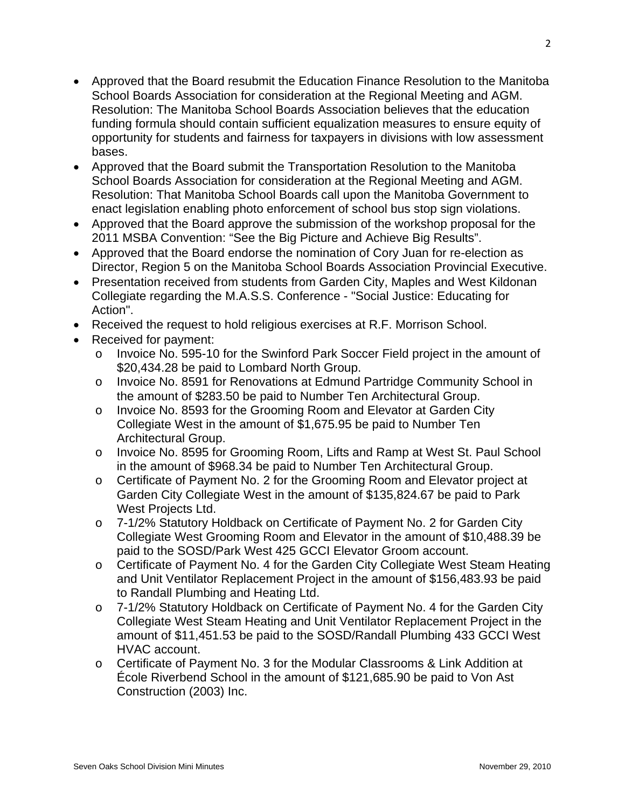- Approved that the Board resubmit the Education Finance Resolution to the Manitoba School Boards Association for consideration at the Regional Meeting and AGM. Resolution: The Manitoba School Boards Association believes that the education funding formula should contain sufficient equalization measures to ensure equity of opportunity for students and fairness for taxpayers in divisions with low assessment bases.
- Approved that the Board submit the Transportation Resolution to the Manitoba School Boards Association for consideration at the Regional Meeting and AGM. Resolution: That Manitoba School Boards call upon the Manitoba Government to enact legislation enabling photo enforcement of school bus stop sign violations.
- Approved that the Board approve the submission of the workshop proposal for the 2011 MSBA Convention: "See the Big Picture and Achieve Big Results".
- Approved that the Board endorse the nomination of Cory Juan for re-election as Director, Region 5 on the Manitoba School Boards Association Provincial Executive.
- Presentation received from students from Garden City, Maples and West Kildonan Collegiate regarding the M.A.S.S. Conference - "Social Justice: Educating for Action".
- Received the request to hold religious exercises at R.F. Morrison School.
- Received for payment:
	- o Invoice No. 595-10 for the Swinford Park Soccer Field project in the amount of \$20,434.28 be paid to Lombard North Group.
	- the amount of \$283.50 be paid to Number Ten Architectural Group. o Invoice No. 8591 for Renovations at Edmund Partridge Community School in
	- o Invoice No. 8593 for the Grooming Room and Elevator at Garden City Collegiate West in the amount of \$1,675.95 be paid to Number Ten Architectural Group.
	- o Invoice No. 8595 for Grooming Room, Lifts and Ramp at West St. Paul School in the amount of \$968.34 be paid to Number Ten Architectural Group.
	- Garden City Collegiate West in the amount of \$135,824.67 be paid to Park o Certificate of Payment No. 2 for the Grooming Room and Elevator project at West Projects Ltd.
	- Collegiate West Grooming Room and Elevator in the amount of \$10,488.39 be o 7-1/2% Statutory Holdback on Certificate of Payment No. 2 for Garden City paid to the SOSD/Park West 425 GCCI Elevator Groom account.
	- and Unit Ventilator Replacement Project in the amount of \$156,483.93 be paid o Certificate of Payment No. 4 for the Garden City Collegiate West Steam Heating to Randall Plumbing and Heating Ltd.
	- amount of \$11,451.53 be paid to the SOSD/Randall Plumbing 433 GCCI West o 7-1/2% Statutory Holdback on Certificate of Payment No. 4 for the Garden City Collegiate West Steam Heating and Unit Ventilator Replacement Project in the HVAC account.
	- $\circ$  Certificate of Payment No. 3 for the Modular Classrooms & Link Addition at École Riverbend School in the amount of \$121,685.90 be paid to Von Ast Construction (2003) Inc.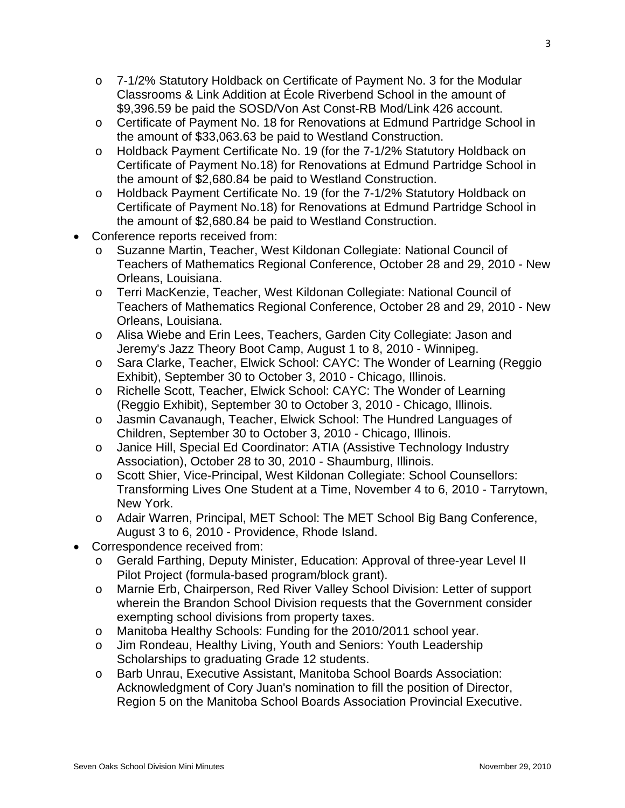- o 7-1/2% Statutory Holdback on Certificate of Payment No. 3 for the Modular Classrooms & Link Addition at École Riverbend School in the amount of \$9,396.59 be paid the SOSD/Von Ast Const-RB Mod/Link 426 account.
- o Certificate of Payment No. 18 for Renovations at Edmund Partridge School in the amount of \$33,063.63 be paid to Westland Construction.
- o Holdback Payment Certificate No. 19 (for the 7-1/2% Statutory Holdback on Certificate of Payment No.18) for Renovations at Edmund Partridge School in the amount of \$2,680.84 be paid to Westland Construction.
- o Holdback Payment Certificate No. 19 (for the 7-1/2% Statutory Holdback on Certificate of Payment No.18) for Renovations at Edmund Partridge School in the amount of \$2,680.84 be paid to Westland Construction.
- Conference reports received from:
	- o Suzanne Martin, Teacher, West Kildonan Collegiate: National Council of Teachers of Mathematics Regional Conference, October 28 and 29, 2010 - New Orleans, Louisiana.
	- Teachers of Mathematics Regional Conference, October 28 and 29, 2010 New o Terri MacKenzie, Teacher, West Kildonan Collegiate: National Council of Orleans, Louisiana.
	- o Alisa Wiebe and Erin Lees, Teachers, Garden City Collegiate: Jason and Jeremy's Jazz Theory Boot Camp, August 1 to 8, 2010 - Winnipeg.
	- o Sara Clarke, Teacher, Elwick School: CAYC: The Wonder of Learning (Reggio Exhibit), September 30 to October 3, 2010 - Chicago, Illinois.
	- o Richelle Scott, Teacher, Elwick School: CAYC: The Wonder of Learning (Reggio Exhibit), September 30 to October 3, 2010 - Chicago, Illinois.
	- o Jasmin Cavanaugh, Teacher, Elwick School: The Hundred Languages of Children, September 30 to October 3, 2010 - Chicago, Illinois.
	- Association), October 28 to 30, 2010 Shaumburg, Illinois. o Janice Hill, Special Ed Coordinator: ATIA (Assistive Technology Industry
	- Transforming Lives One Student at a Time, November 4 to 6, 2010 Tarrytown, o Scott Shier, Vice-Principal, West Kildonan Collegiate: School Counsellors: New York.
	- August 3 to 6, 2010 Providence, Rhode Island. o Adair Warren, Principal, MET School: The MET School Big Bang Conference,
- Correspondence received from:
	- Pilot Project (formula-based program/block grant). o Gerald Farthing, Deputy Minister, Education: Approval of three-year Level II
	- o Marnie Erb, Chairperson, Red River Valley School Division: Letter of support exempting school divisions from property taxes. wherein the Brandon School Division requests that the Government consider
	- o Manitoba Healthy Schools: Funding for the 2010/2011 school year.
	- o Jim Rondeau, Healthy Living, Youth and Seniors: Youth Leadership Scholarships to graduating Grade 12 students.
	- o Barb Unrau, Executive Assistant, Manitoba School Boards Association: Acknowledgment of Cory Juan's nomination to fill the position of Director, Region 5 on the Manitoba School Boards Association Provincial Executive.